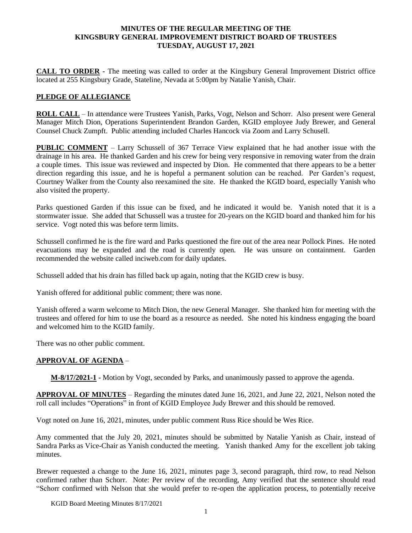#### **MINUTES OF THE REGULAR MEETING OF THE KINGSBURY GENERAL IMPROVEMENT DISTRICT BOARD OF TRUSTEES TUESDAY, AUGUST 17, 2021**

**CALL TO ORDER -** The meeting was called to order at the Kingsbury General Improvement District office located at 255 Kingsbury Grade, Stateline, Nevada at 5:00pm by Natalie Yanish, Chair.

### **PLEDGE OF ALLEGIANCE**

**ROLL CALL** – In attendance were Trustees Yanish, Parks, Vogt, Nelson and Schorr. Also present were General Manager Mitch Dion, Operations Superintendent Brandon Garden, KGID employee Judy Brewer, and General Counsel Chuck Zumpft. Public attending included Charles Hancock via Zoom and Larry Schusell.

**PUBLIC COMMENT** – Larry Schussell of 367 Terrace View explained that he had another issue with the drainage in his area. He thanked Garden and his crew for being very responsive in removing water from the drain a couple times. This issue was reviewed and inspected by Dion. He commented that there appears to be a better direction regarding this issue, and he is hopeful a permanent solution can be reached. Per Garden's request, Courtney Walker from the County also reexamined the site. He thanked the KGID board, especially Yanish who also visited the property.

Parks questioned Garden if this issue can be fixed, and he indicated it would be. Yanish noted that it is a stormwater issue. She added that Schussell was a trustee for 20-years on the KGID board and thanked him for his service. Vogt noted this was before term limits.

Schussell confirmed he is the fire ward and Parks questioned the fire out of the area near Pollock Pines. He noted evacuations may be expanded and the road is currently open. He was unsure on containment. Garden recommended the website called inciweb.com for daily updates.

Schussell added that his drain has filled back up again, noting that the KGID crew is busy.

Yanish offered for additional public comment; there was none.

Yanish offered a warm welcome to Mitch Dion, the new General Manager. She thanked him for meeting with the trustees and offered for him to use the board as a resource as needed. She noted his kindness engaging the board and welcomed him to the KGID family.

There was no other public comment.

### **APPROVAL OF AGENDA** –

**M-8/17/2021-1 -** Motion by Vogt, seconded by Parks, and unanimously passed to approve the agenda.

**APPROVAL OF MINUTES** – Regarding the minutes dated June 16, 2021, and June 22, 2021, Nelson noted the roll call includes "Operations" in front of KGID Employee Judy Brewer and this should be removed.

Vogt noted on June 16, 2021, minutes, under public comment Russ Rice should be Wes Rice.

Amy commented that the July 20, 2021, minutes should be submitted by Natalie Yanish as Chair, instead of Sandra Parks as Vice-Chair as Yanish conducted the meeting. Yanish thanked Amy for the excellent job taking minutes.

Brewer requested a change to the June 16, 2021, minutes page 3, second paragraph, third row, to read Nelson confirmed rather than Schorr. Note: Per review of the recording, Amy verified that the sentence should read "Schorr confirmed with Nelson that she would prefer to re-open the application process, to potentially receive

KGID Board Meeting Minutes 8/17/2021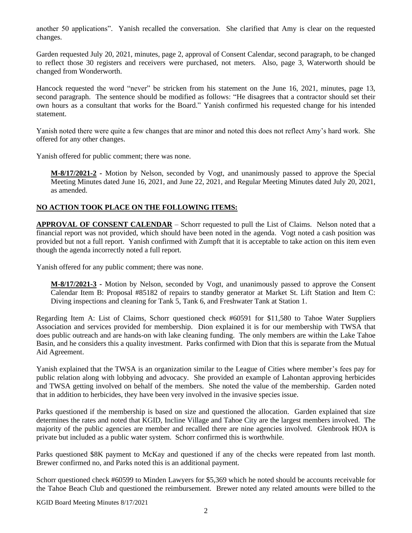another 50 applications". Yanish recalled the conversation. She clarified that Amy is clear on the requested changes.

Garden requested July 20, 2021, minutes, page 2, approval of Consent Calendar, second paragraph, to be changed to reflect those 30 registers and receivers were purchased, not meters. Also, page 3, Waterworth should be changed from Wonderworth.

Hancock requested the word "never" be stricken from his statement on the June 16, 2021, minutes, page 13, second paragraph. The sentence should be modified as follows: "He disagrees that a contractor should set their own hours as a consultant that works for the Board." Yanish confirmed his requested change for his intended statement.

Yanish noted there were quite a few changes that are minor and noted this does not reflect Amy's hard work. She offered for any other changes.

Yanish offered for public comment; there was none.

**M-8/17/2021-2 -** Motion by Nelson, seconded by Vogt, and unanimously passed to approve the Special Meeting Minutes dated June 16, 2021, and June 22, 2021, and Regular Meeting Minutes dated July 20, 2021, as amended.

## **NO ACTION TOOK PLACE ON THE FOLLOWING ITEMS:**

**APPROVAL OF CONSENT CALENDAR** – Schorr requested to pull the List of Claims. Nelson noted that a financial report was not provided, which should have been noted in the agenda. Vogt noted a cash position was provided but not a full report. Yanish confirmed with Zumpft that it is acceptable to take action on this item even though the agenda incorrectly noted a full report.

Yanish offered for any public comment; there was none.

**M-8/17/2021-3 -** Motion by Nelson, seconded by Vogt, and unanimously passed to approve the Consent Calendar Item B: Proposal #85182 of repairs to standby generator at Market St. Lift Station and Item C: Diving inspections and cleaning for Tank 5, Tank 6, and Freshwater Tank at Station 1.

Regarding Item A: List of Claims, Schorr questioned check #60591 for \$11,580 to Tahoe Water Suppliers Association and services provided for membership. Dion explained it is for our membership with TWSA that does public outreach and are hands-on with lake cleaning funding. The only members are within the Lake Tahoe Basin, and he considers this a quality investment. Parks confirmed with Dion that this is separate from the Mutual Aid Agreement.

Yanish explained that the TWSA is an organization similar to the League of Cities where member's fees pay for public relation along with lobbying and advocacy. She provided an example of Lahontan approving herbicides and TWSA getting involved on behalf of the members. She noted the value of the membership. Garden noted that in addition to herbicides, they have been very involved in the invasive species issue.

Parks questioned if the membership is based on size and questioned the allocation. Garden explained that size determines the rates and noted that KGID, Incline Village and Tahoe City are the largest members involved. The majority of the public agencies are member and recalled there are nine agencies involved. Glenbrook HOA is private but included as a public water system. Schorr confirmed this is worthwhile.

Parks questioned \$8K payment to McKay and questioned if any of the checks were repeated from last month. Brewer confirmed no, and Parks noted this is an additional payment.

Schorr questioned check #60599 to Minden Lawyers for \$5,369 which he noted should be accounts receivable for the Tahoe Beach Club and questioned the reimbursement. Brewer noted any related amounts were billed to the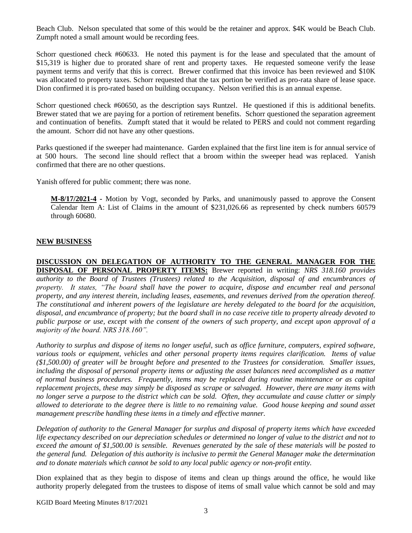Beach Club. Nelson speculated that some of this would be the retainer and approx. \$4K would be Beach Club. Zumpft noted a small amount would be recording fees.

Schorr questioned check #60633. He noted this payment is for the lease and speculated that the amount of \$15,319 is higher due to prorated share of rent and property taxes. He requested someone verify the lease payment terms and verify that this is correct. Brewer confirmed that this invoice has been reviewed and \$10K was allocated to property taxes. Schorr requested that the tax portion be verified as pro-rata share of lease space. Dion confirmed it is pro-rated based on building occupancy. Nelson verified this is an annual expense.

Schorr questioned check #60650, as the description says Runtzel. He questioned if this is additional benefits. Brewer stated that we are paying for a portion of retirement benefits. Schorr questioned the separation agreement and continuation of benefits. Zumpft stated that it would be related to PERS and could not comment regarding the amount. Schorr did not have any other questions.

Parks questioned if the sweeper had maintenance. Garden explained that the first line item is for annual service of at 500 hours. The second line should reflect that a broom within the sweeper head was replaced. Yanish confirmed that there are no other questions.

Yanish offered for public comment; there was none.

**M-8/17/2021-4 -** Motion by Vogt, seconded by Parks, and unanimously passed to approve the Consent Calendar Item A: List of Claims in the amount of \$231,026.66 as represented by check numbers 60579 through 60680.

### **NEW BUSINESS**

**DISCUSSION ON DELEGATION OF AUTHORITY TO THE GENERAL MANAGER FOR THE DISPOSAL OF PERSONAL PROPERTY ITEMS:** Brewer reported in writing: *NRS 318.160 provides authority to the Board of Trustees (Trustees) related to the Acquisition, disposal of and encumbrances of property. It states, "The board shall have the power to acquire, dispose and encumber real and personal property, and any interest therein, including leases, easements, and revenues derived from the operation thereof. The constitutional and inherent powers of the legislature are hereby delegated to the board for the acquisition, disposal, and encumbrance of property; but the board shall in no case receive title to property already devoted to public purpose or use, except with the consent of the owners of such property, and except upon approval of a majority of the board. NRS 318.160".* 

*Authority to surplus and dispose of items no longer useful, such as office furniture, computers, expired software, various tools or equipment, vehicles and other personal property items requires clarification. Items of value (\$1,500.00) of greater will be brought before and presented to the Trustees for consideration. Smaller issues, including the disposal of personal property items or adjusting the asset balances need accomplished as a matter of normal business procedures. Frequently, items may be replaced during routine maintenance or as capital replacement projects, these may simply be disposed as scrape or salvaged. However, there are many items with no longer serve a purpose to the district which can be sold. Often, they accumulate and cause clutter or simply allowed to deteriorate to the degree there is little to no remaining value. Good house keeping and sound asset management prescribe handling these items in a timely and effective manner.* 

*Delegation of authority to the General Manager for surplus and disposal of property items which have exceeded life expectancy described on our depreciation schedules or determined no longer of value to the district and not to exceed the amount of \$1,500.00 is sensible. Revenues generated by the sale of these materials will be posted to the general fund. Delegation of this authority is inclusive to permit the General Manager make the determination and to donate materials which cannot be sold to any local public agency or non-profit entity.* 

Dion explained that as they begin to dispose of items and clean up things around the office, he would like authority properly delegated from the trustees to dispose of items of small value which cannot be sold and may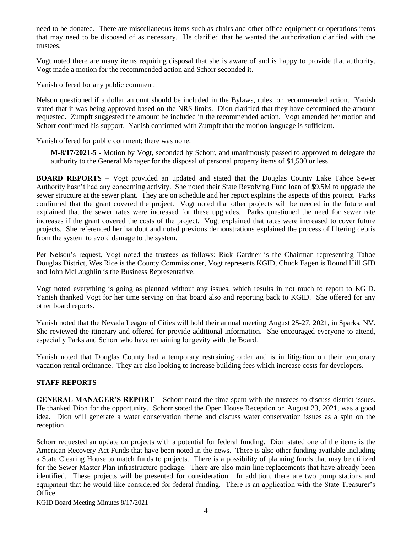need to be donated. There are miscellaneous items such as chairs and other office equipment or operations items that may need to be disposed of as necessary. He clarified that he wanted the authorization clarified with the trustees.

Vogt noted there are many items requiring disposal that she is aware of and is happy to provide that authority. Vogt made a motion for the recommended action and Schorr seconded it.

Yanish offered for any public comment.

Nelson questioned if a dollar amount should be included in the Bylaws, rules, or recommended action. Yanish stated that it was being approved based on the NRS limits. Dion clarified that they have determined the amount requested. Zumpft suggested the amount be included in the recommended action. Vogt amended her motion and Schorr confirmed his support. Yanish confirmed with Zumpft that the motion language is sufficient.

Yanish offered for public comment; there was none.

**M-8/17/2021-5 -** Motion by Vogt, seconded by Schorr, and unanimously passed to approved to delegate the authority to the General Manager for the disposal of personal property items of \$1,500 or less.

**BOARD REPORTS –** Vogt provided an updated and stated that the Douglas County Lake Tahoe Sewer Authority hasn't had any concerning activity. She noted their State Revolving Fund loan of \$9.5M to upgrade the sewer structure at the sewer plant. They are on schedule and her report explains the aspects of this project. Parks confirmed that the grant covered the project. Vogt noted that other projects will be needed in the future and explained that the sewer rates were increased for these upgrades. Parks questioned the need for sewer rate increases if the grant covered the costs of the project. Vogt explained that rates were increased to cover future projects. She referenced her handout and noted previous demonstrations explained the process of filtering debris from the system to avoid damage to the system.

Per Nelson's request, Vogt noted the trustees as follows: Rick Gardner is the Chairman representing Tahoe Douglas District, Wes Rice is the County Commissioner, Vogt represents KGID, Chuck Fagen is Round Hill GID and John McLaughlin is the Business Representative.

Vogt noted everything is going as planned without any issues, which results in not much to report to KGID. Yanish thanked Vogt for her time serving on that board also and reporting back to KGID. She offered for any other board reports.

Yanish noted that the Nevada League of Cities will hold their annual meeting August 25-27, 2021, in Sparks, NV. She reviewed the itinerary and offered for provide additional information. She encouraged everyone to attend, especially Parks and Schorr who have remaining longevity with the Board.

Yanish noted that Douglas County had a temporary restraining order and is in litigation on their temporary vacation rental ordinance. They are also looking to increase building fees which increase costs for developers.

### **STAFF REPORTS** -

**GENERAL MANAGER'S REPORT** – Schorr noted the time spent with the trustees to discuss district issues. He thanked Dion for the opportunity. Schorr stated the Open House Reception on August 23, 2021, was a good idea. Dion will generate a water conservation theme and discuss water conservation issues as a spin on the reception.

Schorr requested an update on projects with a potential for federal funding. Dion stated one of the items is the American Recovery Act Funds that have been noted in the news. There is also other funding available including a State Clearing House to match funds to projects. There is a possibility of planning funds that may be utilized for the Sewer Master Plan infrastructure package. There are also main line replacements that have already been identified. These projects will be presented for consideration. In addition, there are two pump stations and equipment that he would like considered for federal funding. There is an application with the State Treasurer's Office.

KGID Board Meeting Minutes 8/17/2021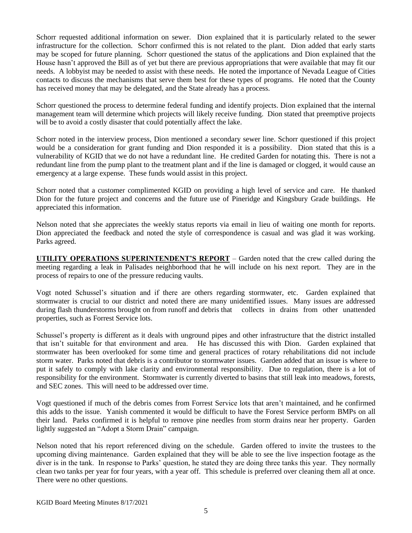Schorr requested additional information on sewer. Dion explained that it is particularly related to the sewer infrastructure for the collection. Schorr confirmed this is not related to the plant. Dion added that early starts may be scoped for future planning. Schorr questioned the status of the applications and Dion explained that the House hasn't approved the Bill as of yet but there are previous appropriations that were available that may fit our needs. A lobbyist may be needed to assist with these needs. He noted the importance of Nevada League of Cities contacts to discuss the mechanisms that serve them best for these types of programs. He noted that the County has received money that may be delegated, and the State already has a process.

Schorr questioned the process to determine federal funding and identify projects. Dion explained that the internal management team will determine which projects will likely receive funding. Dion stated that preemptive projects will be to avoid a costly disaster that could potentially affect the lake.

Schorr noted in the interview process, Dion mentioned a secondary sewer line. Schorr questioned if this project would be a consideration for grant funding and Dion responded it is a possibility. Dion stated that this is a vulnerability of KGID that we do not have a redundant line. He credited Garden for notating this. There is not a redundant line from the pump plant to the treatment plant and if the line is damaged or clogged, it would cause an emergency at a large expense. These funds would assist in this project.

Schorr noted that a customer complimented KGID on providing a high level of service and care. He thanked Dion for the future project and concerns and the future use of Pineridge and Kingsbury Grade buildings. He appreciated this information.

Nelson noted that she appreciates the weekly status reports via email in lieu of waiting one month for reports. Dion appreciated the feedback and noted the style of correspondence is casual and was glad it was working. Parks agreed.

**UTILITY OPERATIONS SUPERINTENDENT'S REPORT** – Garden noted that the crew called during the meeting regarding a leak in Palisades neighborhood that he will include on his next report. They are in the process of repairs to one of the pressure reducing vaults.

Vogt noted Schussel's situation and if there are others regarding stormwater, etc. Garden explained that stormwater is crucial to our district and noted there are many unidentified issues. Many issues are addressed during flash thunderstorms brought on from runoff and debris that collects in drains from other unattended properties, such as Forrest Service lots.

Schussel's property is different as it deals with unground pipes and other infrastructure that the district installed that isn't suitable for that environment and area. He has discussed this with Dion. Garden explained that stormwater has been overlooked for some time and general practices of rotary rehabilitations did not include storm water. Parks noted that debris is a contributor to stormwater issues. Garden added that an issue is where to put it safely to comply with lake clarity and environmental responsibility. Due to regulation, there is a lot of responsibility for the environment. Stormwater is currently diverted to basins that still leak into meadows, forests, and SEC zones. This will need to be addressed over time.

Vogt questioned if much of the debris comes from Forrest Service lots that aren't maintained, and he confirmed this adds to the issue. Yanish commented it would be difficult to have the Forest Service perform BMPs on all their land. Parks confirmed it is helpful to remove pine needles from storm drains near her property. Garden lightly suggested an "Adopt a Storm Drain" campaign.

Nelson noted that his report referenced diving on the schedule. Garden offered to invite the trustees to the upcoming diving maintenance. Garden explained that they will be able to see the live inspection footage as the diver is in the tank. In response to Parks' question, he stated they are doing three tanks this year. They normally clean two tanks per year for four years, with a year off. This schedule is preferred over cleaning them all at once. There were no other questions.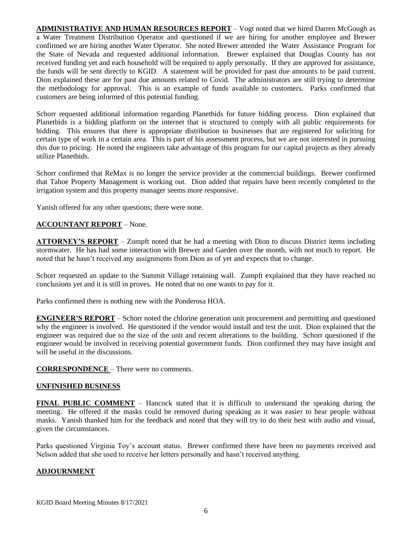**ADMINISTRATIVE AND HUMAN RESOURCES REPORT** – Vogt noted that we hired Darren McGough as a Water Treatment Distribution Operator and questioned if we are hiring for another employee and Brewer confirmed we are hiring another Water Operator. She noted Brewer attended the Water Assistance Program for the State of Nevada and requested additional information. Brewer explained that Douglas County has not received funding yet and each household will be required to apply personally. If they are approved for assistance, the funds will be sent directly to KGID. A statement will be provided for past due amounts to be paid current. Dion explained these are for past due amounts related to Covid. The administrators are still trying to determine the methodology for approval. This is an example of funds available to customers. Parks confirmed that customers are being informed of this potential funding.

Schorr requested additional information regarding Planetbids for future bidding process. Dion explained that Planetbids is a bidding platform on the internet that is structured to comply with all public requirements for bidding. This ensures that there is appropriate distribution to businesses that are registered for soliciting for certain type of work in a certain area. This is part of his assessment process, but we are not interested in pursuing this due to pricing. He noted the engineers take advantage of this program for our capital projects as they already utilize Planetbids.

Schorr confirmed that ReMax is no longer the service provider at the commercial buildings. Brewer confirmed that Tahoe Property Management is working out. Dion added that repairs have been recently completed to the irrigation system and this property manager seems more responsive.

Yanish offered for any other questions; there were none.

# **ACCOUNTANT REPORT** – None.

**ATTORNEY'S REPORT** – Zumpft noted that he had a meeting with Dion to discuss District items including stormwater. He has had some interaction with Brewer and Garden over the month, with not much to report. He noted that he hasn't received any assignments from Dion as of yet and expects that to change.

Schorr requested an update to the Summit Village retaining wall. Zumpft explained that they have reached no conclusions yet and it is still in proves. He noted that no one wants to pay for it.

Parks confirmed there is nothing new with the Ponderosa HOA.

**ENGINEER'S REPORT** – Schorr noted the chlorine generation unit procurement and permitting and questioned why the engineer is involved. He questioned if the vendor would install and test the unit. Dion explained that the engineer was required due to the size of the unit and recent alterations to the building. Schorr questioned if the engineer would be involved in receiving potential government funds. Dion confirmed they may have insight and will be useful in the discussions.

**CORRESPONDENCE** – There were no comments.

### **UNFINISHED BUSINESS**

**FINAL PUBLIC COMMENT** – Hancock stated that it is difficult to understand the speaking during the meeting. He offered if the masks could be removed during speaking as it was easier to hear people without masks. Yanish thanked him for the feedback and noted that they will try to do their best with audio and visual, given the circumstances.

Parks questioned Virginia Toy's account status. Brewer confirmed there have been no payments received and Nelson added that she used to receive her letters personally and hasn't received anything.

### **ADJOURNMENT**